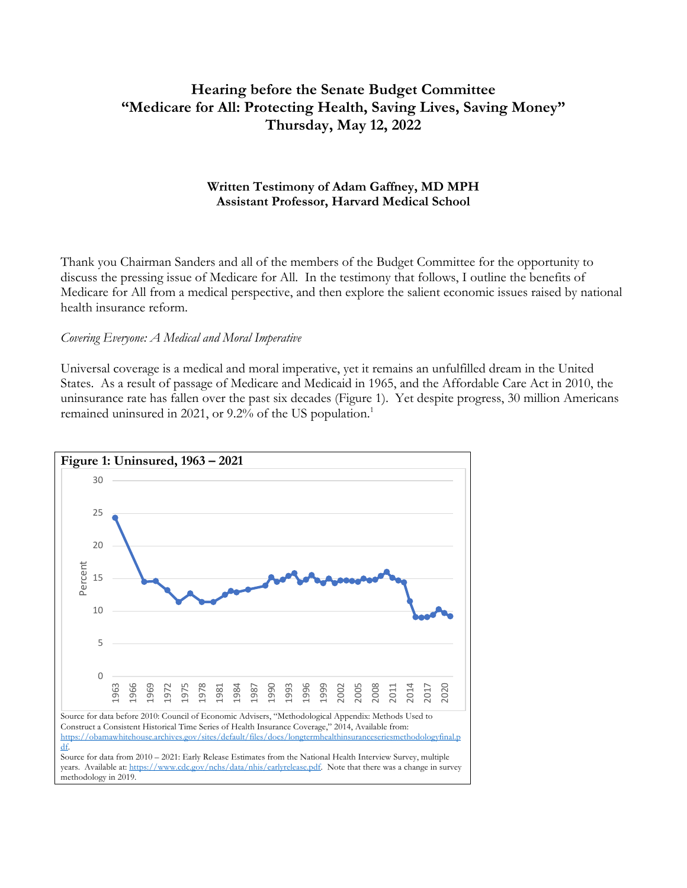# **Hearing before the Senate Budget Committee "Medicare for All: Protecting Health, Saving Lives, Saving Money" Thursday, May 12, 2022**

### **Written Testimony of Adam Gaffney, MD MPH Assistant Professor, Harvard Medical School**

Thank you Chairman Sanders and all of the members of the Budget Committee for the opportunity to discuss the pressing issue of Medicare for All. In the testimony that follows, I outline the benefits of Medicare for All from a medical perspective, and then explore the salient economic issues raised by national health insurance reform.

#### *Covering Everyone: A Medical and Moral Imperative*

Universal coverage is a medical and moral imperative, yet it remains an unfulfilled dream in the United States. As a result of passage of Medicare and Medicaid in 1965, and the Affordable Care Act in 2010, the uninsurance rate has fallen over the past six decades (Figure 1). Yet despite progress, 30 million Americans remained uninsured in 2021, or 9.2% of the US population.<sup>1</sup>

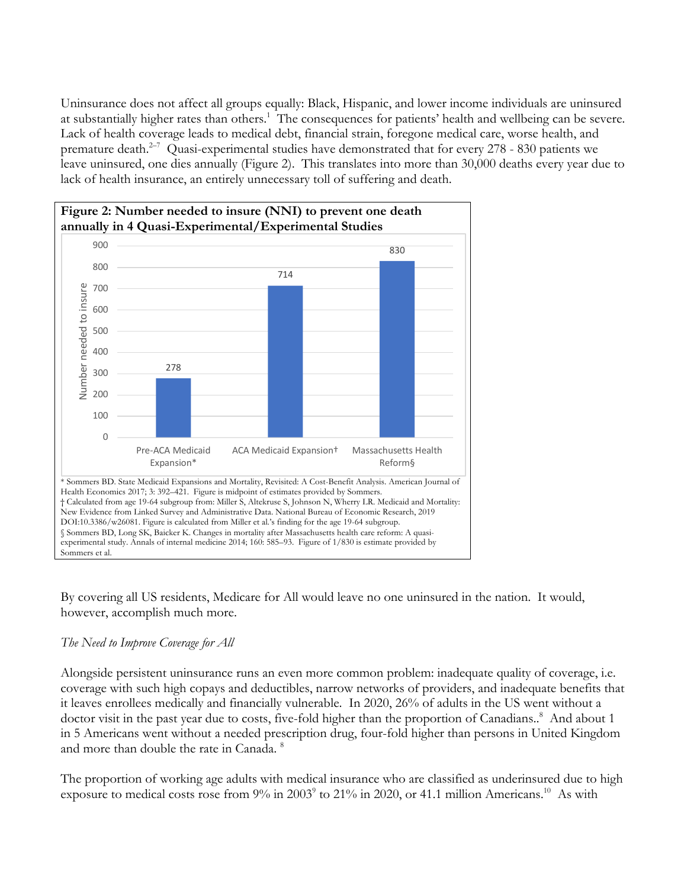Uninsurance does not affect all groups equally: Black, Hispanic, and lower income individuals are uninsured at substantially higher rates than others.<sup>1</sup> The consequences for patients' health and wellbeing can be severe. Lack of health coverage leads to medical debt, financial strain, foregone medical care, worse health, and premature death.<sup>2-7</sup> Quasi-experimental studies have demonstrated that for every 278 - 830 patients we leave uninsured, one dies annually (Figure 2). This translates into more than 30,000 deaths every year due to lack of health insurance, an entirely unnecessary toll of suffering and death.



By covering all US residents, Medicare for All would leave no one uninsured in the nation. It would, however, accomplish much more.

# *The Need to Improve Coverage for All*

Alongside persistent uninsurance runs an even more common problem: inadequate quality of coverage, i.e. coverage with such high copays and deductibles, narrow networks of providers, and inadequate benefits that it leaves enrollees medically and financially vulnerable. In 2020, 26% of adults in the US went without a doctor visit in the past year due to costs, five-fold higher than the proportion of Canadians..<sup>8</sup> And about 1 in 5 Americans went without a needed prescription drug, four-fold higher than persons in United Kingdom and more than double the rate in Canada. <sup>8</sup>

The proportion of working age adults with medical insurance who are classified as underinsured due to high exposure to medical costs rose from 9% in 2003<sup>9</sup> to 21% in 2020, or 41.1 million Americans.<sup>10</sup> As with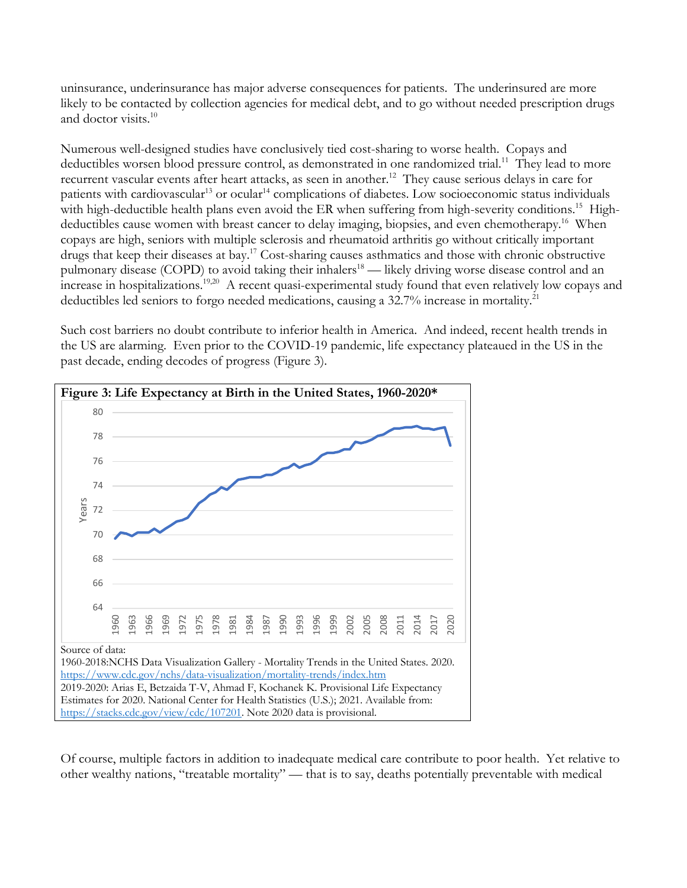uninsurance, underinsurance has major adverse consequences for patients. The underinsured are more likely to be contacted by collection agencies for medical debt, and to go without needed prescription drugs and doctor visits.10

Numerous well-designed studies have conclusively tied cost-sharing to worse health. Copays and deductibles worsen blood pressure control, as demonstrated in one randomized trial.<sup>11</sup> They lead to more recurrent vascular events after heart attacks, as seen in another.<sup>12</sup> They cause serious delays in care for patients with cardiovascular<sup>13</sup> or ocular<sup>14</sup> complications of diabetes. Low socioeconomic status individuals with high-deductible health plans even avoid the ER when suffering from high-severity conditions.<sup>15</sup> Highdeductibles cause women with breast cancer to delay imaging, biopsies, and even chemotherapy.<sup>16</sup> When copays are high, seniors with multiple sclerosis and rheumatoid arthritis go without critically important drugs that keep their diseases at bay. <sup>17</sup> Cost-sharing causes asthmatics and those with chronic obstructive pulmonary disease (COPD) to avoid taking their inhalers<sup>18</sup> — likely driving worse disease control and an increase in hospitalizations.<sup>19,20</sup> A recent quasi-experimental study found that even relatively low copays and deductibles led seniors to forgo needed medications, causing a 32.7% increase in mortality.<sup>21</sup>

Such cost barriers no doubt contribute to inferior health in America. And indeed, recent health trends in the US are alarming. Even prior to the COVID-19 pandemic, life expectancy plateaued in the US in the past decade, ending decodes of progress (Figure 3).



Of course, multiple factors in addition to inadequate medical care contribute to poor health. Yet relative to other wealthy nations, "treatable mortality" — that is to say, deaths potentially preventable with medical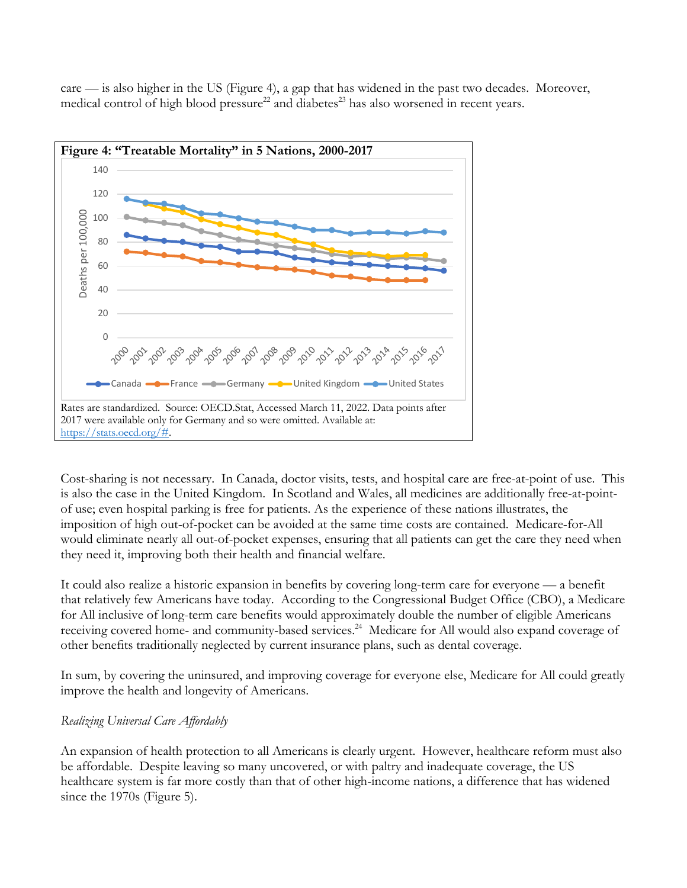care — is also higher in the US (Figure 4), a gap that has widened in the past two decades. Moreover, medical control of high blood pressure $^{22}$  and diabetes $^{23}$  has also worsened in recent years.



Cost-sharing is not necessary. In Canada, doctor visits, tests, and hospital care are free-at-point of use. This is also the case in the United Kingdom. In Scotland and Wales, all medicines are additionally free-at-pointof use; even hospital parking is free for patients. As the experience of these nations illustrates, the imposition of high out-of-pocket can be avoided at the same time costs are contained. Medicare-for-All would eliminate nearly all out-of-pocket expenses, ensuring that all patients can get the care they need when they need it, improving both their health and financial welfare.

It could also realize a historic expansion in benefits by covering long-term care for everyone — a benefit that relatively few Americans have today. According to the Congressional Budget Office (CBO), a Medicare for All inclusive of long-term care benefits would approximately double the number of eligible Americans receiving covered home- and community-based services.<sup>24</sup> Medicare for All would also expand coverage of other benefits traditionally neglected by current insurance plans, such as dental coverage.

In sum, by covering the uninsured, and improving coverage for everyone else, Medicare for All could greatly improve the health and longevity of Americans.

# *Realizing Universal Care Affordably*

An expansion of health protection to all Americans is clearly urgent. However, healthcare reform must also be affordable. Despite leaving so many uncovered, or with paltry and inadequate coverage, the US healthcare system is far more costly than that of other high-income nations, a difference that has widened since the 1970s (Figure 5).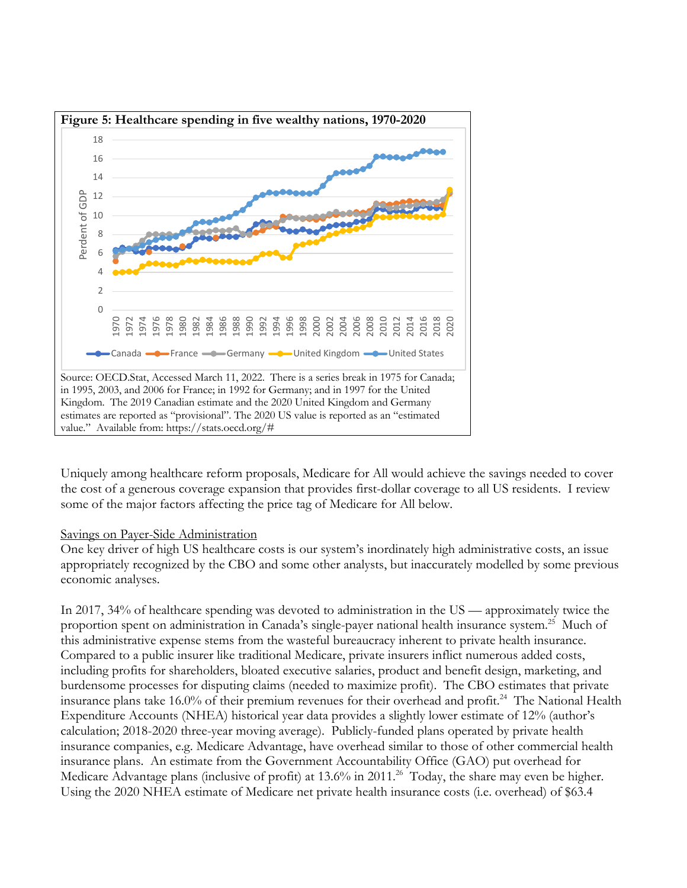

Uniquely among healthcare reform proposals, Medicare for All would achieve the savings needed to cover the cost of a generous coverage expansion that provides first-dollar coverage to all US residents. I review some of the major factors affecting the price tag of Medicare for All below.

#### Savings on Payer-Side Administration

One key driver of high US healthcare costs is our system's inordinately high administrative costs, an issue appropriately recognized by the CBO and some other analysts, but inaccurately modelled by some previous economic analyses.

In 2017, 34% of healthcare spending was devoted to administration in the US — approximately twice the proportion spent on administration in Canada's single-payer national health insurance system. 25 Much of this administrative expense stems from the wasteful bureaucracy inherent to private health insurance. Compared to a public insurer like traditional Medicare, private insurers inflict numerous added costs, including profits for shareholders, bloated executive salaries, product and benefit design, marketing, and burdensome processes for disputing claims (needed to maximize profit). The CBO estimates that private insurance plans take 16.0% of their premium revenues for their overhead and profit. 24 The National Health Expenditure Accounts (NHEA) historical year data provides a slightly lower estimate of 12% (author's calculation; 2018-2020 three-year moving average). Publicly-funded plans operated by private health insurance companies, e.g. Medicare Advantage, have overhead similar to those of other commercial health insurance plans. An estimate from the Government Accountability Office (GAO) put overhead for Medicare Advantage plans (inclusive of profit) at 13.6% in 2011.<sup>26</sup> Today, the share may even be higher. Using the 2020 NHEA estimate of Medicare net private health insurance costs (i.e. overhead) of \$63.4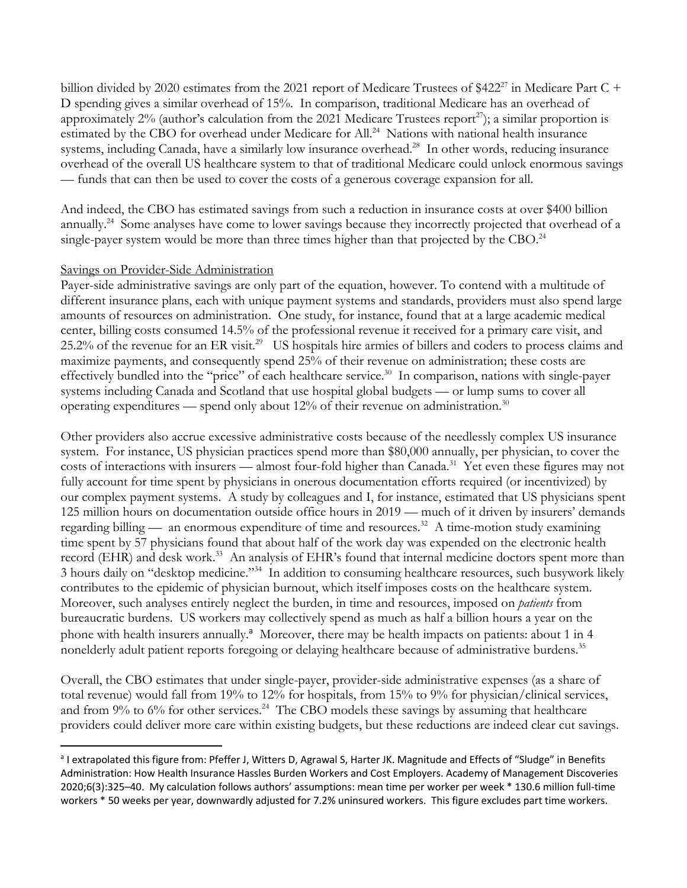billion divided by 2020 estimates from the 2021 report of Medicare Trustees of \$422<sup>27</sup> in Medicare Part C + D spending gives a similar overhead of 15%. In comparison, traditional Medicare has an overhead of approximately  $2\%$  (author's calculation from the 2021 Medicare Trustees report<sup>27</sup>); a similar proportion is estimated by the CBO for overhead under Medicare for All.<sup>24</sup> Nations with national health insurance systems, including Canada, have a similarly low insurance overhead.<sup>28</sup> In other words, reducing insurance overhead of the overall US healthcare system to that of traditional Medicare could unlock enormous savings — funds that can then be used to cover the costs of a generous coverage expansion for all.

And indeed, the CBO has estimated savings from such a reduction in insurance costs at over \$400 billion annually.24 Some analyses have come to lower savings because they incorrectly projected that overhead of a single-payer system would be more than three times higher than that projected by the CBO.<sup>24</sup>

#### Savings on Provider-Side Administration

Payer-side administrative savings are only part of the equation, however. To contend with a multitude of different insurance plans, each with unique payment systems and standards, providers must also spend large amounts of resources on administration. One study, for instance, found that at a large academic medical center, billing costs consumed 14.5% of the professional revenue it received for a primary care visit, and 25.2% of the revenue for an ER visit.29 US hospitals hire armies of billers and coders to process claims and maximize payments, and consequently spend 25% of their revenue on administration; these costs are effectively bundled into the "price" of each healthcare service.<sup>30</sup> In comparison, nations with single-payer systems including Canada and Scotland that use hospital global budgets — or lump sums to cover all operating expenditures — spend only about  $12\%$  of their revenue on administration.<sup>30</sup>

Other providers also accrue excessive administrative costs because of the needlessly complex US insurance system. For instance, US physician practices spend more than \$80,000 annually, per physician, to cover the costs of interactions with insurers — almost four-fold higher than Canada.<sup>31</sup> Yet even these figures may not fully account for time spent by physicians in onerous documentation efforts required (or incentivized) by our complex payment systems. A study by colleagues and I, for instance, estimated that US physicians spent 125 million hours on documentation outside office hours in 2019 — much of it driven by insurers' demands regarding billing — an enormous expenditure of time and resources.<sup>32</sup> A time-motion study examining time spent by 57 physicians found that about half of the work day was expended on the electronic health record (EHR) and desk work.<sup>33</sup> An analysis of EHR's found that internal medicine doctors spent more than 3 hours daily on "desktop medicine."34 In addition to consuming healthcare resources, such busywork likely contributes to the epidemic of physician burnout, which itself imposes costs on the healthcare system. Moreover, such analyses entirely neglect the burden, in time and resources, imposed on *patients* from bureaucratic burdens. US workers may collectively spend as much as half a billion hours a year on the phone with health insurers annually.<sup>a</sup> Moreover, there may be health impacts on patients: about 1 in 4 nonelderly adult patient reports foregoing or delaying healthcare because of administrative burdens.<sup>35</sup>

Overall, the CBO estimates that under single-payer, provider-side administrative expenses (as a share of total revenue) would fall from 19% to 12% for hospitals, from 15% to 9% for physician/clinical services, and from  $9\%$  to 6% for other services.<sup>24</sup> The CBO models these savings by assuming that healthcare providers could deliver more care within existing budgets, but these reductions are indeed clear cut savings.

<sup>&</sup>lt;sup>a</sup> I extrapolated this figure from: Pfeffer J, Witters D, Agrawal S, Harter JK. Magnitude and Effects of "Sludge" in Benefits Administration: How Health Insurance Hassles Burden Workers and Cost Employers. Academy of Management Discoveries 2020;6(3):325–40. My calculation follows authors' assumptions: mean time per worker per week \* 130.6 million full-time workers \* 50 weeks per year, downwardly adjusted for 7.2% uninsured workers. This figure excludes part time workers.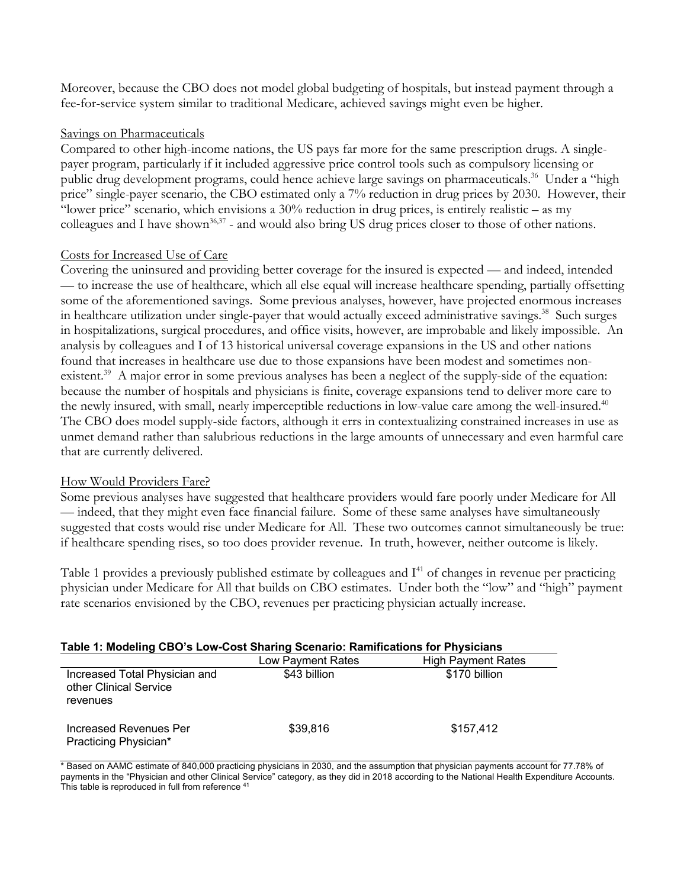Moreover, because the CBO does not model global budgeting of hospitals, but instead payment through a fee-for-service system similar to traditional Medicare, achieved savings might even be higher.

## Savings on Pharmaceuticals

Compared to other high-income nations, the US pays far more for the same prescription drugs. A singlepayer program, particularly if it included aggressive price control tools such as compulsory licensing or public drug development programs, could hence achieve large savings on pharmaceuticals. 36 Under a "high price" single-payer scenario, the CBO estimated only a 7% reduction in drug prices by 2030. However, their "lower price" scenario, which envisions a 30% reduction in drug prices, is entirely realistic – as my colleagues and I have shown<sup>36,37</sup> - and would also bring US drug prices closer to those of other nations.

# Costs for Increased Use of Care

Covering the uninsured and providing better coverage for the insured is expected — and indeed, intended — to increase the use of healthcare, which all else equal will increase healthcare spending, partially offsetting some of the aforementioned savings. Some previous analyses, however, have projected enormous increases in healthcare utilization under single-payer that would actually exceed administrative savings. 38 Such surges in hospitalizations, surgical procedures, and office visits, however, are improbable and likely impossible. An analysis by colleagues and I of 13 historical universal coverage expansions in the US and other nations found that increases in healthcare use due to those expansions have been modest and sometimes nonexistent.<sup>39</sup> A major error in some previous analyses has been a neglect of the supply-side of the equation: because the number of hospitals and physicians is finite, coverage expansions tend to deliver more care to the newly insured, with small, nearly imperceptible reductions in low-value care among the well-insured.<sup>40</sup> The CBO does model supply-side factors, although it errs in contextualizing constrained increases in use as unmet demand rather than salubrious reductions in the large amounts of unnecessary and even harmful care that are currently delivered.

### How Would Providers Fare?

Some previous analyses have suggested that healthcare providers would fare poorly under Medicare for All — indeed, that they might even face financial failure. Some of these same analyses have simultaneously suggested that costs would rise under Medicare for All. These two outcomes cannot simultaneously be true: if healthcare spending rises, so too does provider revenue. In truth, however, neither outcome is likely.

Table 1 provides a previously published estimate by colleagues and I<sup>41</sup> of changes in revenue per practicing physician under Medicare for All that builds on CBO estimates. Under both the "low" and "high" payment rate scenarios envisioned by the CBO, revenues per practicing physician actually increase.

|                                                                     | Table 1: Modeling CBO's Low-Cost Sharing Scenario: Ramifications for Physicians |                           |
|---------------------------------------------------------------------|---------------------------------------------------------------------------------|---------------------------|
|                                                                     | Low Payment Rates                                                               | <b>High Payment Rates</b> |
| Increased Total Physician and<br>other Clinical Service<br>revenues | \$43 billion                                                                    | \$170 billion             |
| Increased Revenues Per<br>Practicing Physician*                     | \$39,816                                                                        | \$157,412                 |

\* Based on AAMC estimate of 840,000 practicing physicians in 2030, and the assumption that physician payments account for 77.78% of payments in the "Physician and other Clinical Service" category, as they did in 2018 according to the National Health Expenditure Accounts. This table is reproduced in full from reference <sup>41</sup>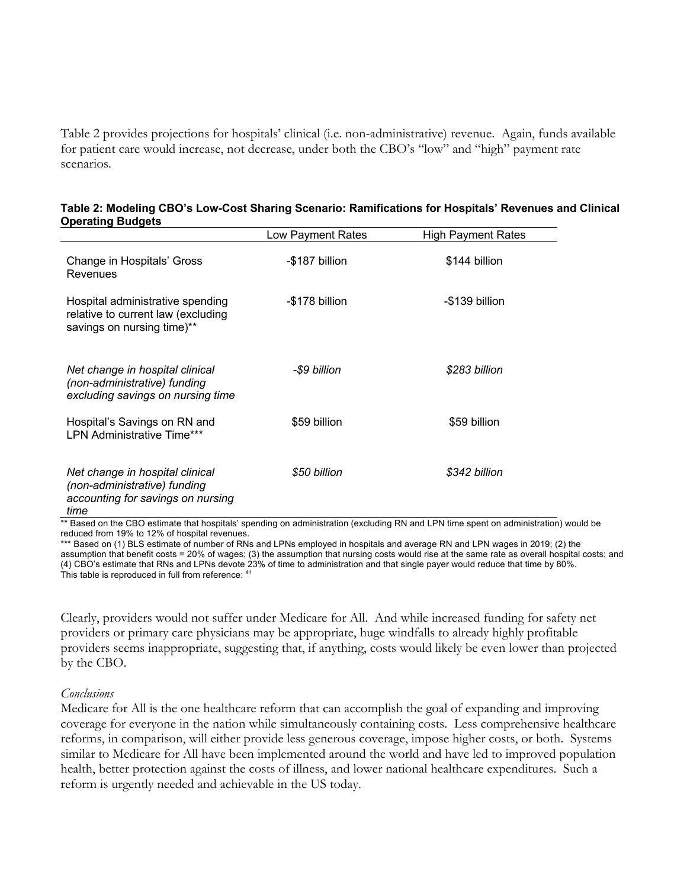Table 2 provides projections for hospitals' clinical (i.e. non-administrative) revenue. Again, funds available for patient care would increase, not decrease, under both the CBO's "low" and "high" payment rate scenarios.

| r                                                                                                            | Low Payment Rates | <b>High Payment Rates</b> |
|--------------------------------------------------------------------------------------------------------------|-------------------|---------------------------|
| Change in Hospitals' Gross<br>Revenues                                                                       | -\$187 billion    | \$144 billion             |
| Hospital administrative spending<br>relative to current law (excluding<br>savings on nursing time)**         | -\$178 billion    | -\$139 billion            |
| Net change in hospital clinical<br>(non-administrative) funding<br>excluding savings on nursing time         | -\$9 billion      | \$283 billion             |
| Hospital's Savings on RN and<br><b>LPN Administrative Time***</b>                                            | \$59 billion      | \$59 billion              |
| Net change in hospital clinical<br>(non-administrative) funding<br>accounting for savings on nursing<br>time | \$50 billion      | \$342 billion             |

| Table 2: Modeling CBO's Low-Cost Sharing Scenario: Ramifications for Hospitals' Revenues and Clinical |  |
|-------------------------------------------------------------------------------------------------------|--|
| <b>Operating Budgets</b>                                                                              |  |

\*\* Based on the CBO estimate that hospitals' spending on administration (excluding RN and LPN time spent on administration) would be reduced from 19% to 12% of hospital revenues.

\*\*\* Based on (1) BLS estimate of number of RNs and LPNs employed in hospitals and average RN and LPN wages in 2019; (2) the assumption that benefit costs = 20% of wages; (3) the assumption that nursing costs would rise at the same rate as overall hospital costs; and (4) CBO's estimate that RNs and LPNs devote 23% of time to administration and that single payer would reduce that time by 80%. This table is reproduced in full from reference: 41

Clearly, providers would not suffer under Medicare for All. And while increased funding for safety net providers or primary care physicians may be appropriate, huge windfalls to already highly profitable providers seems inappropriate, suggesting that, if anything, costs would likely be even lower than projected by the CBO.

#### *Conclusions*

Medicare for All is the one healthcare reform that can accomplish the goal of expanding and improving coverage for everyone in the nation while simultaneously containing costs. Less comprehensive healthcare reforms, in comparison, will either provide less generous coverage, impose higher costs, or both. Systems similar to Medicare for All have been implemented around the world and have led to improved population health, better protection against the costs of illness, and lower national healthcare expenditures. Such a reform is urgently needed and achievable in the US today.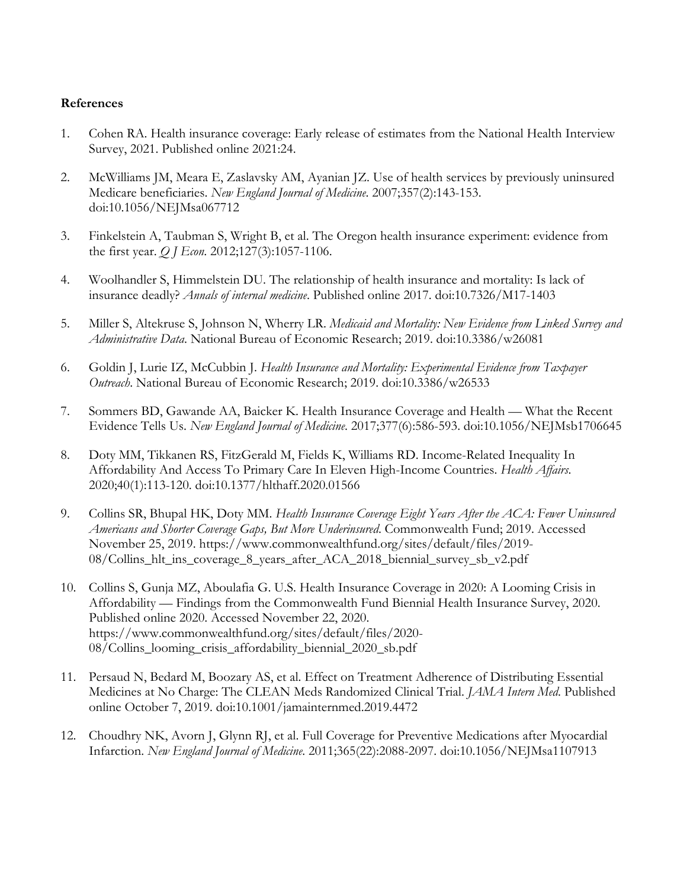### **References**

- 1. Cohen RA. Health insurance coverage: Early release of estimates from the National Health Interview Survey, 2021. Published online 2021:24.
- 2. McWilliams JM, Meara E, Zaslavsky AM, Ayanian JZ. Use of health services by previously uninsured Medicare beneficiaries. *New England Journal of Medicine*. 2007;357(2):143-153. doi:10.1056/NEJMsa067712
- 3. Finkelstein A, Taubman S, Wright B, et al. The Oregon health insurance experiment: evidence from the first year. *Q J Econ*. 2012;127(3):1057-1106.
- 4. Woolhandler S, Himmelstein DU. The relationship of health insurance and mortality: Is lack of insurance deadly? *Annals of internal medicine*. Published online 2017. doi:10.7326/M17-1403
- 5. Miller S, Altekruse S, Johnson N, Wherry LR. *Medicaid and Mortality: New Evidence from Linked Survey and Administrative Data*. National Bureau of Economic Research; 2019. doi:10.3386/w26081
- 6. Goldin J, Lurie IZ, McCubbin J. *Health Insurance and Mortality: Experimental Evidence from Taxpayer Outreach*. National Bureau of Economic Research; 2019. doi:10.3386/w26533
- 7. Sommers BD, Gawande AA, Baicker K. Health Insurance Coverage and Health What the Recent Evidence Tells Us. *New England Journal of Medicine*. 2017;377(6):586-593. doi:10.1056/NEJMsb1706645
- 8. Doty MM, Tikkanen RS, FitzGerald M, Fields K, Williams RD. Income-Related Inequality In Affordability And Access To Primary Care In Eleven High-Income Countries. *Health Affairs*. 2020;40(1):113-120. doi:10.1377/hlthaff.2020.01566
- 9. Collins SR, Bhupal HK, Doty MM. *Health Insurance Coverage Eight Years After the ACA: Fewer Uninsured Americans and Shorter Coverage Gaps, But More Underinsured*. Commonwealth Fund; 2019. Accessed November 25, 2019. https://www.commonwealthfund.org/sites/default/files/2019- 08/Collins\_hlt\_ins\_coverage\_8\_years\_after\_ACA\_2018\_biennial\_survey\_sb\_v2.pdf
- 10. Collins S, Gunja MZ, Aboulafia G. U.S. Health Insurance Coverage in 2020: A Looming Crisis in Affordability — Findings from the Commonwealth Fund Biennial Health Insurance Survey, 2020. Published online 2020. Accessed November 22, 2020. https://www.commonwealthfund.org/sites/default/files/2020- 08/Collins\_looming\_crisis\_affordability\_biennial\_2020\_sb.pdf
- 11. Persaud N, Bedard M, Boozary AS, et al. Effect on Treatment Adherence of Distributing Essential Medicines at No Charge: The CLEAN Meds Randomized Clinical Trial. *JAMA Intern Med*. Published online October 7, 2019. doi:10.1001/jamainternmed.2019.4472
- 12. Choudhry NK, Avorn J, Glynn RJ, et al. Full Coverage for Preventive Medications after Myocardial Infarction. *New England Journal of Medicine*. 2011;365(22):2088-2097. doi:10.1056/NEJMsa1107913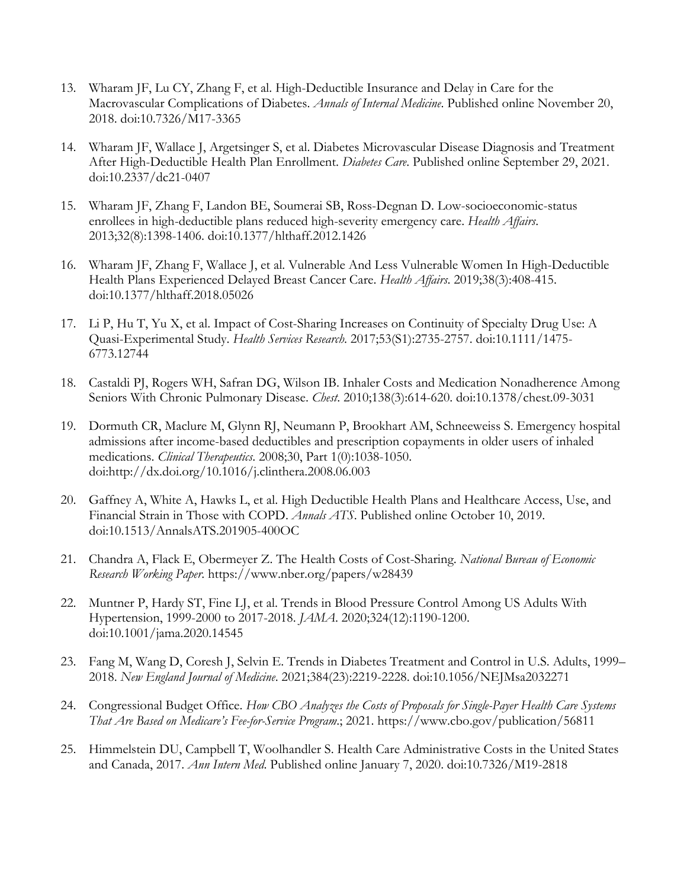- 13. Wharam JF, Lu CY, Zhang F, et al. High-Deductible Insurance and Delay in Care for the Macrovascular Complications of Diabetes. *Annals of Internal Medicine*. Published online November 20, 2018. doi:10.7326/M17-3365
- 14. Wharam JF, Wallace J, Argetsinger S, et al. Diabetes Microvascular Disease Diagnosis and Treatment After High-Deductible Health Plan Enrollment. *Diabetes Care*. Published online September 29, 2021. doi:10.2337/dc21-0407
- 15. Wharam JF, Zhang F, Landon BE, Soumerai SB, Ross-Degnan D. Low-socioeconomic-status enrollees in high-deductible plans reduced high-severity emergency care. *Health Affairs*. 2013;32(8):1398-1406. doi:10.1377/hlthaff.2012.1426
- 16. Wharam JF, Zhang F, Wallace J, et al. Vulnerable And Less Vulnerable Women In High-Deductible Health Plans Experienced Delayed Breast Cancer Care. *Health Affairs*. 2019;38(3):408-415. doi:10.1377/hlthaff.2018.05026
- 17. Li P, Hu T, Yu X, et al. Impact of Cost-Sharing Increases on Continuity of Specialty Drug Use: A Quasi-Experimental Study. *Health Services Research*. 2017;53(S1):2735-2757. doi:10.1111/1475- 6773.12744
- 18. Castaldi PJ, Rogers WH, Safran DG, Wilson IB. Inhaler Costs and Medication Nonadherence Among Seniors With Chronic Pulmonary Disease. *Chest*. 2010;138(3):614-620. doi:10.1378/chest.09-3031
- 19. Dormuth CR, Maclure M, Glynn RJ, Neumann P, Brookhart AM, Schneeweiss S. Emergency hospital admissions after income-based deductibles and prescription copayments in older users of inhaled medications. *Clinical Therapeutics*. 2008;30, Part 1(0):1038-1050. doi:http://dx.doi.org/10.1016/j.clinthera.2008.06.003
- 20. Gaffney A, White A, Hawks L, et al. High Deductible Health Plans and Healthcare Access, Use, and Financial Strain in Those with COPD. *Annals ATS*. Published online October 10, 2019. doi:10.1513/AnnalsATS.201905-400OC
- 21. Chandra A, Flack E, Obermeyer Z. The Health Costs of Cost-Sharing. *National Bureau of Economic Research Working Paper*. https://www.nber.org/papers/w28439
- 22. Muntner P, Hardy ST, Fine LJ, et al. Trends in Blood Pressure Control Among US Adults With Hypertension, 1999-2000 to 2017-2018. *JAMA*. 2020;324(12):1190-1200. doi:10.1001/jama.2020.14545
- 23. Fang M, Wang D, Coresh J, Selvin E. Trends in Diabetes Treatment and Control in U.S. Adults, 1999– 2018. *New England Journal of Medicine*. 2021;384(23):2219-2228. doi:10.1056/NEJMsa2032271
- 24. Congressional Budget Office. *How CBO Analyzes the Costs of Proposals for Single-Payer Health Care Systems That Are Based on Medicare's Fee-for-Service Program*.; 2021. https://www.cbo.gov/publication/56811
- 25. Himmelstein DU, Campbell T, Woolhandler S. Health Care Administrative Costs in the United States and Canada, 2017. *Ann Intern Med*. Published online January 7, 2020. doi:10.7326/M19-2818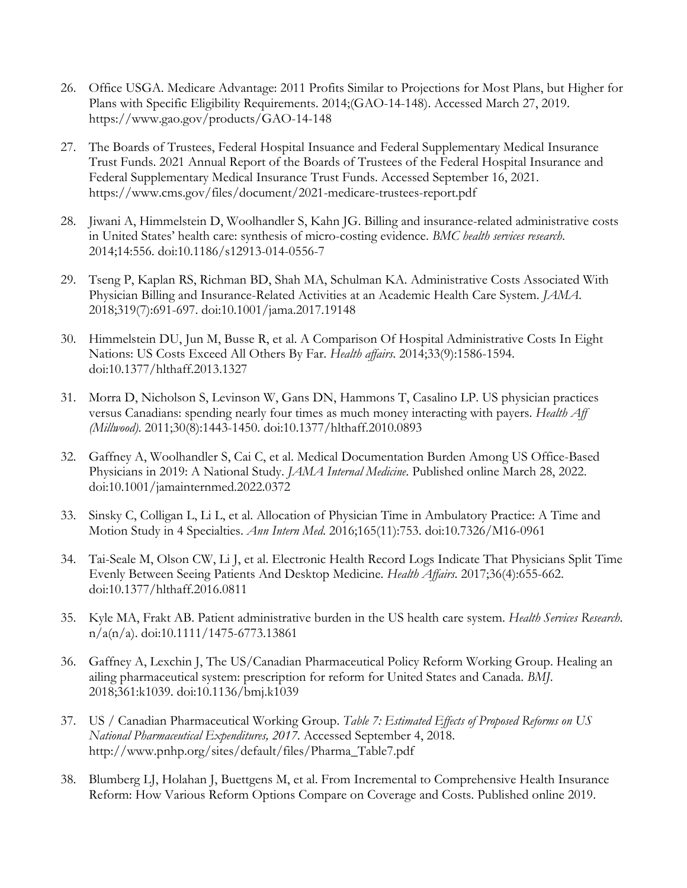- 26. Office USGA. Medicare Advantage: 2011 Profits Similar to Projections for Most Plans, but Higher for Plans with Specific Eligibility Requirements. 2014;(GAO-14-148). Accessed March 27, 2019. https://www.gao.gov/products/GAO-14-148
- 27. The Boards of Trustees, Federal Hospital Insuance and Federal Supplementary Medical Insurance Trust Funds. 2021 Annual Report of the Boards of Trustees of the Federal Hospital Insurance and Federal Supplementary Medical Insurance Trust Funds. Accessed September 16, 2021. https://www.cms.gov/files/document/2021-medicare-trustees-report.pdf
- 28. Jiwani A, Himmelstein D, Woolhandler S, Kahn JG. Billing and insurance-related administrative costs in United States' health care: synthesis of micro-costing evidence. *BMC health services research*. 2014;14:556. doi:10.1186/s12913-014-0556-7
- 29. Tseng P, Kaplan RS, Richman BD, Shah MA, Schulman KA. Administrative Costs Associated With Physician Billing and Insurance-Related Activities at an Academic Health Care System. *JAMA*. 2018;319(7):691-697. doi:10.1001/jama.2017.19148
- 30. Himmelstein DU, Jun M, Busse R, et al. A Comparison Of Hospital Administrative Costs In Eight Nations: US Costs Exceed All Others By Far. *Health affairs*. 2014;33(9):1586-1594. doi:10.1377/hlthaff.2013.1327
- 31. Morra D, Nicholson S, Levinson W, Gans DN, Hammons T, Casalino LP. US physician practices versus Canadians: spending nearly four times as much money interacting with payers. *Health Aff (Millwood)*. 2011;30(8):1443-1450. doi:10.1377/hlthaff.2010.0893
- 32. Gaffney A, Woolhandler S, Cai C, et al. Medical Documentation Burden Among US Office-Based Physicians in 2019: A National Study. *JAMA Internal Medicine*. Published online March 28, 2022. doi:10.1001/jamainternmed.2022.0372
- 33. Sinsky C, Colligan L, Li L, et al. Allocation of Physician Time in Ambulatory Practice: A Time and Motion Study in 4 Specialties. *Ann Intern Med*. 2016;165(11):753. doi:10.7326/M16-0961
- 34. Tai-Seale M, Olson CW, Li J, et al. Electronic Health Record Logs Indicate That Physicians Split Time Evenly Between Seeing Patients And Desktop Medicine. *Health Affairs*. 2017;36(4):655-662. doi:10.1377/hlthaff.2016.0811
- 35. Kyle MA, Frakt AB. Patient administrative burden in the US health care system. *Health Services Research*. n/a(n/a). doi:10.1111/1475-6773.13861
- 36. Gaffney A, Lexchin J, The US/Canadian Pharmaceutical Policy Reform Working Group. Healing an ailing pharmaceutical system: prescription for reform for United States and Canada. *BMJ*. 2018;361:k1039. doi:10.1136/bmj.k1039
- 37. US / Canadian Pharmaceutical Working Group. *Table 7: Estimated Effects of Proposed Reforms on US National Pharmaceutical Expenditures, 2017*. Accessed September 4, 2018. http://www.pnhp.org/sites/default/files/Pharma\_Table7.pdf
- 38. Blumberg LJ, Holahan J, Buettgens M, et al. From Incremental to Comprehensive Health Insurance Reform: How Various Reform Options Compare on Coverage and Costs. Published online 2019.